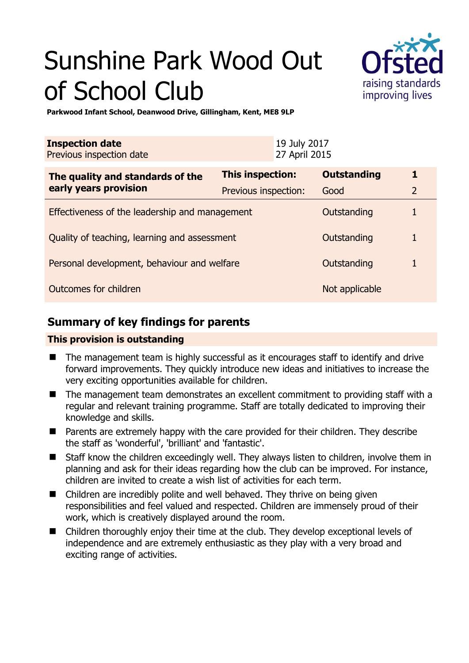# Sunshine Park Wood Out of School Club



**Parkwood Infant School, Deanwood Drive, Gillingham, Kent, ME8 9LP** 

| <b>Inspection date</b><br>Previous inspection date        |                      | 19 July 2017<br>27 April 2015 |                    |                |
|-----------------------------------------------------------|----------------------|-------------------------------|--------------------|----------------|
| The quality and standards of the<br>early years provision | This inspection:     |                               | <b>Outstanding</b> | 1              |
|                                                           | Previous inspection: |                               | Good               | $\overline{2}$ |
| Effectiveness of the leadership and management            |                      |                               | Outstanding        |                |
| Quality of teaching, learning and assessment              |                      |                               | Outstanding        | 1              |
| Personal development, behaviour and welfare               |                      |                               | Outstanding        |                |
| Outcomes for children                                     |                      |                               | Not applicable     |                |

# **Summary of key findings for parents**

## **This provision is outstanding**

- The management team is highly successful as it encourages staff to identify and drive forward improvements. They quickly introduce new ideas and initiatives to increase the very exciting opportunities available for children.
- The management team demonstrates an excellent commitment to providing staff with a regular and relevant training programme. Staff are totally dedicated to improving their knowledge and skills.
- Parents are extremely happy with the care provided for their children. They describe the staff as 'wonderful', 'brilliant' and 'fantastic'.
- Staff know the children exceedingly well. They always listen to children, involve them in planning and ask for their ideas regarding how the club can be improved. For instance, children are invited to create a wish list of activities for each term.
- Children are incredibly polite and well behaved. They thrive on being given responsibilities and feel valued and respected. Children are immensely proud of their work, which is creatively displayed around the room.
- Children thoroughly enjoy their time at the club. They develop exceptional levels of independence and are extremely enthusiastic as they play with a very broad and exciting range of activities.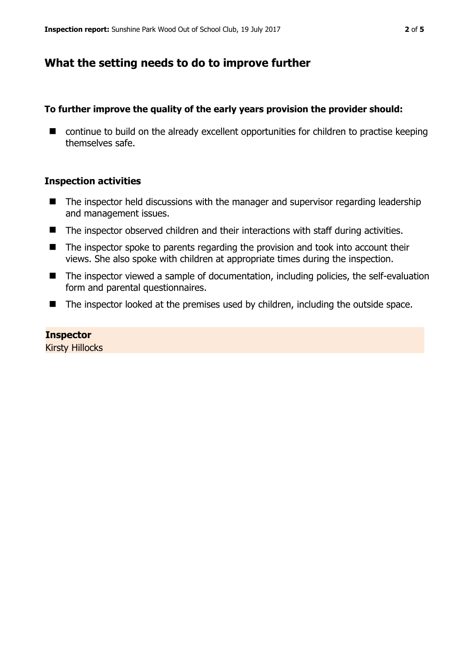## **What the setting needs to do to improve further**

### **To further improve the quality of the early years provision the provider should:**

■ continue to build on the already excellent opportunities for children to practise keeping themselves safe.

#### **Inspection activities**

- The inspector held discussions with the manager and supervisor regarding leadership and management issues.
- The inspector observed children and their interactions with staff during activities.
- The inspector spoke to parents regarding the provision and took into account their views. She also spoke with children at appropriate times during the inspection.
- The inspector viewed a sample of documentation, including policies, the self-evaluation form and parental questionnaires.
- The inspector looked at the premises used by children, including the outside space.

## **Inspector**

Kirsty Hillocks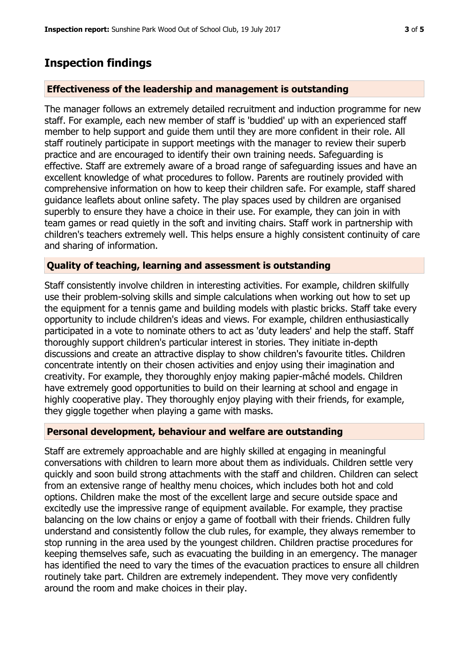## **Inspection findings**

#### **Effectiveness of the leadership and management is outstanding**

The manager follows an extremely detailed recruitment and induction programme for new staff. For example, each new member of staff is 'buddied' up with an experienced staff member to help support and guide them until they are more confident in their role. All staff routinely participate in support meetings with the manager to review their superb practice and are encouraged to identify their own training needs. Safeguarding is effective. Staff are extremely aware of a broad range of safeguarding issues and have an excellent knowledge of what procedures to follow. Parents are routinely provided with comprehensive information on how to keep their children safe. For example, staff shared guidance leaflets about online safety. The play spaces used by children are organised superbly to ensure they have a choice in their use. For example, they can join in with team games or read quietly in the soft and inviting chairs. Staff work in partnership with children's teachers extremely well. This helps ensure a highly consistent continuity of care and sharing of information.

#### **Quality of teaching, learning and assessment is outstanding**

Staff consistently involve children in interesting activities. For example, children skilfully use their problem-solving skills and simple calculations when working out how to set up the equipment for a tennis game and building models with plastic bricks. Staff take every opportunity to include children's ideas and views. For example, children enthusiastically participated in a vote to nominate others to act as 'duty leaders' and help the staff. Staff thoroughly support children's particular interest in stories. They initiate in-depth discussions and create an attractive display to show children's favourite titles. Children concentrate intently on their chosen activities and enjoy using their imagination and creativity. For example, they thoroughly enjoy making papier-mâché models. Children have extremely good opportunities to build on their learning at school and engage in highly cooperative play. They thoroughly enjoy playing with their friends, for example, they giggle together when playing a game with masks.

#### **Personal development, behaviour and welfare are outstanding**

Staff are extremely approachable and are highly skilled at engaging in meaningful conversations with children to learn more about them as individuals. Children settle very quickly and soon build strong attachments with the staff and children. Children can select from an extensive range of healthy menu choices, which includes both hot and cold options. Children make the most of the excellent large and secure outside space and excitedly use the impressive range of equipment available. For example, they practise balancing on the low chains or enjoy a game of football with their friends. Children fully understand and consistently follow the club rules, for example, they always remember to stop running in the area used by the youngest children. Children practise procedures for keeping themselves safe, such as evacuating the building in an emergency. The manager has identified the need to vary the times of the evacuation practices to ensure all children routinely take part. Children are extremely independent. They move very confidently around the room and make choices in their play.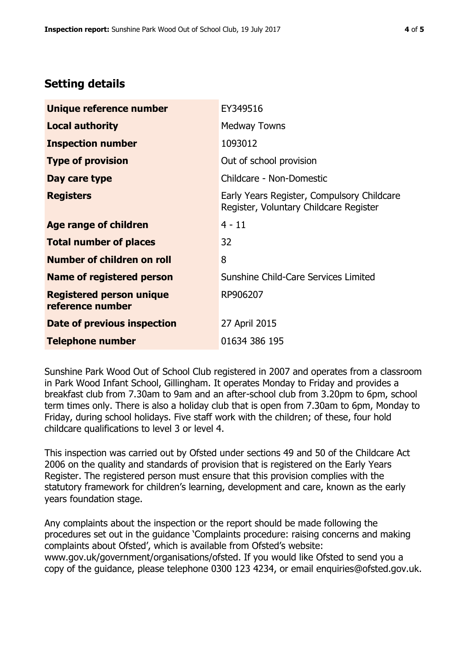# **Setting details**

| Unique reference number                             | EY349516                                                                             |  |
|-----------------------------------------------------|--------------------------------------------------------------------------------------|--|
| <b>Local authority</b>                              | <b>Medway Towns</b>                                                                  |  |
| <b>Inspection number</b>                            | 1093012                                                                              |  |
| <b>Type of provision</b>                            | Out of school provision                                                              |  |
| Day care type                                       | Childcare - Non-Domestic                                                             |  |
| <b>Registers</b>                                    | Early Years Register, Compulsory Childcare<br>Register, Voluntary Childcare Register |  |
| Age range of children                               | $4 - 11$                                                                             |  |
| <b>Total number of places</b>                       | 32                                                                                   |  |
| Number of children on roll                          | 8                                                                                    |  |
| Name of registered person                           | Sunshine Child-Care Services Limited                                                 |  |
| <b>Registered person unique</b><br>reference number | RP906207                                                                             |  |
| <b>Date of previous inspection</b>                  | 27 April 2015                                                                        |  |
| <b>Telephone number</b>                             | 01634 386 195                                                                        |  |

Sunshine Park Wood Out of School Club registered in 2007 and operates from a classroom in Park Wood Infant School, Gillingham. It operates Monday to Friday and provides a breakfast club from 7.30am to 9am and an after-school club from 3.20pm to 6pm, school term times only. There is also a holiday club that is open from 7.30am to 6pm, Monday to Friday, during school holidays. Five staff work with the children; of these, four hold childcare qualifications to level 3 or level 4.

This inspection was carried out by Ofsted under sections 49 and 50 of the Childcare Act 2006 on the quality and standards of provision that is registered on the Early Years Register. The registered person must ensure that this provision complies with the statutory framework for children's learning, development and care, known as the early years foundation stage.

Any complaints about the inspection or the report should be made following the procedures set out in the guidance 'Complaints procedure: raising concerns and making complaints about Ofsted', which is available from Ofsted's website: www.gov.uk/government/organisations/ofsted. If you would like Ofsted to send you a copy of the guidance, please telephone 0300 123 4234, or email enquiries@ofsted.gov.uk.